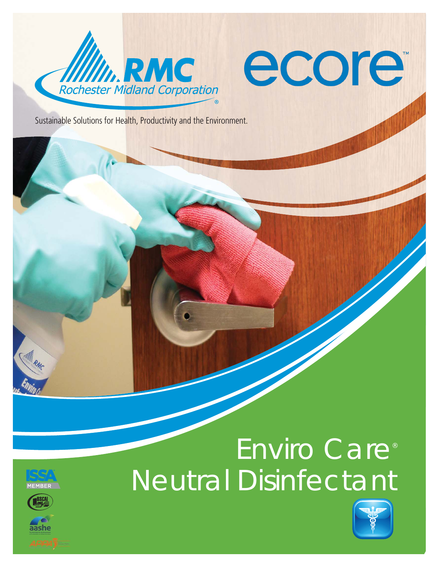

# ecore

Sustainable Solutions for Health, Productivity and the Environment.





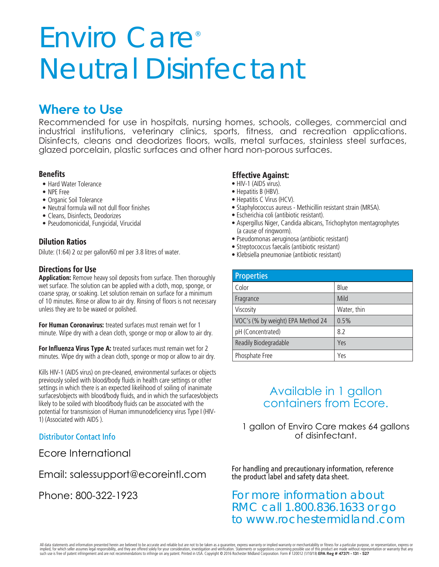# Enviro Care<sup>®</sup> Neutral Disinfectant

# Where to Use

Recommended for use in hospitals, nursing homes, schools, colleges, commercial and industrial institutions, veterinary clinics, sports, fitness, and recreation applications. Disinfects, cleans and deodorizes floors, walls, metal surfaces, stainless steel surfaces, glazed porcelain, plastic surfaces and other hard non-porous surfaces.

# **Benefits**

- **•** Hard Water Tolerance
- **•** NPE Free
- **•** Organic Soil Tolerance
- **•** Neutral formula will not dull floor finishes
- **•** Cleans, Disinfects, Deodorizes
- **•** Pseudomonicidal, Fungicidal, Virucidal

# **Dilution Ratios**

Dilute: (1:64) 2 oz per gallon/60 ml per 3.8 litres of water.

# **Directions for Use**

**Application:** Remove heavy soil deposits from surface. Then thoroughly wet surface. The solution can be applied with a cloth, mop, sponge, or coarse spray, or soaking. Let solution remain on surface for a minimum of 10 minutes. Rinse or allow to air dry. Rinsing of floors is not necessary unless they are to be waxed or polished.

**For Human Coronavirus:** treated surfaces must remain wet for 1 minute. Wipe dry with a clean cloth, sponge or mop or allow to air dry.

**For Influenza Virus Type A:** treated surfaces must remain wet for 2 minutes. Wipe dry with a clean cloth, sponge or mop or allow to air dry.

Kills HIV-1 (AIDS virus) on pre-cleaned, environmental surfaces or objects previously soiled with blood/body fluids in health care settings or other settings in which there is an expected likelihood of soiling of inanimate surfaces/objects with blood/body fluids, and in which the surfaces/objects likely to be soiled with blood/body fluids can be associated with the potential for transmission of Human immunodeficiency virus Type I (HIV-1) (Associated with AIDS ).

# Distributor Contact Info

Ecore International

Email: salessupport@ecoreintl.com

Phone: 800-322-1923

#### **Effective Against:**

- HIV-1 (AIDS virus).
- Hepatitis B (HBV).
- Hepatitis C Virus (HCV).
- Staphylococcus aureus Methicillin resistant strain (MRSA).
- Escherichia coli (antibiotic resistant).
- Aspergillus Niger, Candida albicans, Trichophyton mentagrophytes (a cause of ringworm).
- Pseudomonas aeruginosa (antibiotic resistant)
- Streptococcus faecalis (antibiotic resistant)
- Klebsiella pneumoniae (antibiotic resistant)

| <b>Properties</b>                 |             |
|-----------------------------------|-------------|
| Color                             | Blue        |
| Fragrance                         | Mild        |
| Viscosity                         | Water, thin |
| VOC's (% by weight) EPA Method 24 | 0.5%        |
| pH (Concentrated)                 | 82          |
| Readily Biodegradable             | Yes         |
| Phosphate Free                    | Yes         |

# Available in 1 gallon containers from Ecore.

1 gallon of Enviro Care makes 64 gallons of disinfectant.

For handling and precautionary information, reference the product label and safety data sheet.

# For more information about RMC call 1.800.836.1633 or go to www.rochestermidland.com

All data statements and information presented herein are believed to be accurate and reliable but are not to be taken as a guarantee, express warranty or implied warranty or merchantability or fitness for a particular purp